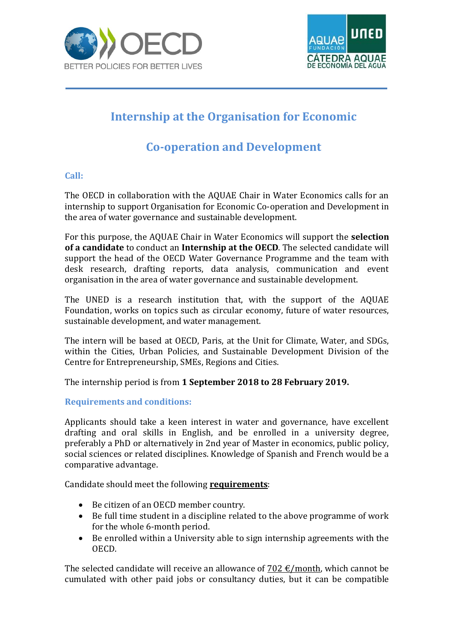



## **Internship at the Organisation for Economic**

## **Co-operation and Development**

## **Call:**

The OECD in collaboration with the AQUAE Chair in Water Economics calls for an internship to support Organisation for Economic Co-operation and Development in the area of water governance and sustainable development.

For this purpose, the AQUAE Chair in Water Economics will support the **selection of a candidate** to conduct an **Internship at the OECD**. The selected candidate will support the head of the OECD Water Governance Programme and the team with desk research, drafting reports, data analysis, communication and event organisation in the area of water governance and sustainable development.

The UNED is a research institution that, with the support of the AQUAE Foundation, works on topics such as circular economy, future of water resources, sustainable development, and water management.

The intern will be based at OECD, Paris, at the Unit for Climate, Water, and SDGs, within the Cities, Urban Policies, and Sustainable Development Division of the Centre for Entrepreneurship, SMEs, Regions and Cities.

The internship period is from **1 September 2018 to 28 February 2019.**

## **Requirements and conditions:**

Applicants should take a keen interest in water and governance, have excellent drafting and oral skills in English, and be enrolled in a university degree, preferably a PhD or alternatively in 2nd year of Master in economics, public policy, social sciences or related disciplines. Knowledge of Spanish and French would be a comparative advantage.

Candidate should meet the following **requirements**:

- Be citizen of an OECD member country.
- Be full time student in a discipline related to the above programme of work for the whole 6-month period.
- Be enrolled within a University able to sign internship agreements with the OECD.

The selected candidate will receive an allowance of 702  $\epsilon$ /month, which cannot be cumulated with other paid jobs or consultancy duties, but it can be compatible